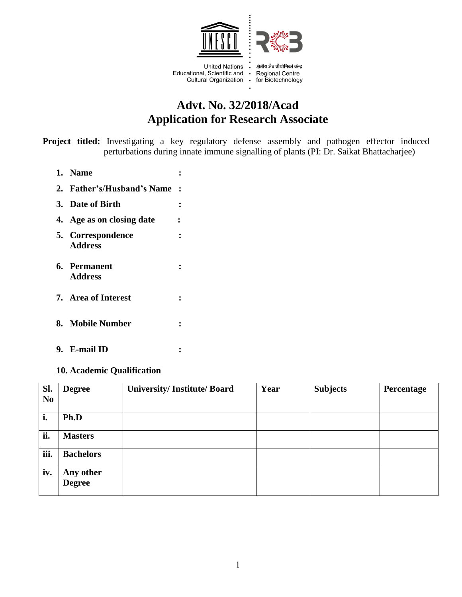

United Nations : क्षेत्रीय जैव प्रौद्योगिकी केन्द्र Educational, Scientific and • Regional Centre Cultural Organization · for Biotechnology

# **Advt. No. 32/2018/Acad Application for Research Associate**

**Project titled:** Investigating a key regulatory defense assembly and pathogen effector induced perturbations during innate immune signalling of plants (PI: Dr. Saikat Bhattacharjee)

- **1. Name :**
- **2. Father's/Husband's Name :**
- **3. Date of Birth :**
- **4. Age as on closing date :**
- **5. Correspondence : Address**
- **6. Permanent : Address**
- **7. Area of Interest :**
- **8. Mobile Number :**
- **9. E-mail ID :**
- **10. Academic Qualification**

| Sl.<br>N <sub>0</sub> | <b>Degree</b>              | <b>University/Institute/Board</b> | Year | <b>Subjects</b> | Percentage |
|-----------------------|----------------------------|-----------------------------------|------|-----------------|------------|
| i.                    | Ph.D                       |                                   |      |                 |            |
| ii.                   | <b>Masters</b>             |                                   |      |                 |            |
| iii.                  | <b>Bachelors</b>           |                                   |      |                 |            |
| iv.                   | Any other<br><b>Degree</b> |                                   |      |                 |            |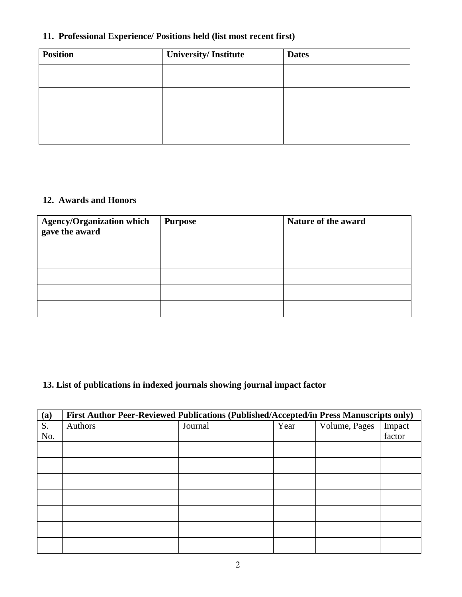## **11. Professional Experience/ Positions held (list most recent first)**

| <b>Position</b> | University/Institute | <b>Dates</b> |
|-----------------|----------------------|--------------|
|                 |                      |              |
|                 |                      |              |
|                 |                      |              |

### **12. Awards and Honors**

| Agency/Organization which<br>gave the award | <b>Purpose</b> | Nature of the award |
|---------------------------------------------|----------------|---------------------|
|                                             |                |                     |
|                                             |                |                     |
|                                             |                |                     |
|                                             |                |                     |
|                                             |                |                     |
|                                             |                |                     |

## **13. List of publications in indexed journals showing journal impact factor**

| (a) | First Author Peer-Reviewed Publications (Published/Accepted/in Press Manuscripts only) |         |      |               |        |
|-----|----------------------------------------------------------------------------------------|---------|------|---------------|--------|
| S.  | Authors                                                                                | Journal | Year | Volume, Pages | Impact |
| No. |                                                                                        |         |      |               | factor |
|     |                                                                                        |         |      |               |        |
|     |                                                                                        |         |      |               |        |
|     |                                                                                        |         |      |               |        |
|     |                                                                                        |         |      |               |        |
|     |                                                                                        |         |      |               |        |
|     |                                                                                        |         |      |               |        |
|     |                                                                                        |         |      |               |        |
|     |                                                                                        |         |      |               |        |